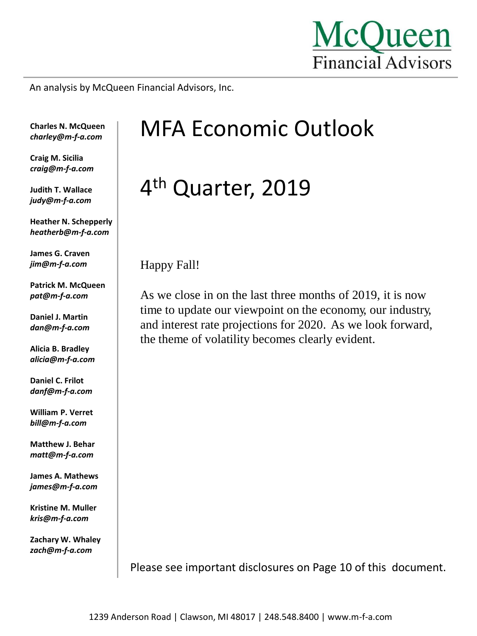

An analysis by McQueen Financial Advisors, Inc.

**Charles N. McQueen** *charley@m-f-a.com*

**Craig M. Sicilia** *craig@m-f-a.com*

**Judith T. Wallace** *judy@m-f-a.com*

**Heather N. Schepperly** *heatherb@m-f-a.com*

**James G. Craven** *jim@m-f-a.com*

**Patrick M. McQueen** *pat@m-f-a.com*

**Daniel J. Martin** *dan@m-f-a.com*

**Alicia B. Bradley** *alicia@m-f-a.com*

**Daniel C. Frilot** *danf@m-f-a.com*

**William P. Verret** *bill@m-f-a.com*

**Matthew J. Behar** *matt@m-f-a.com*

**James A. Mathews** *james@m-f-a.com*

**Kristine M. Muller** *kris@m-f-a.com*

**Zachary W. Whaley** *zach@m-f-a.com*

# MFA Economic Outlook

# 4<sup>th</sup> Quarter, 2019

Happy Fall!

As we close in on the last three months of 2019, it is now time to update our viewpoint on the economy, our industry, and interest rate projections for 2020. As we look forward, the theme of volatility becomes clearly evident.

Please see important disclosures on Page 10 of this document.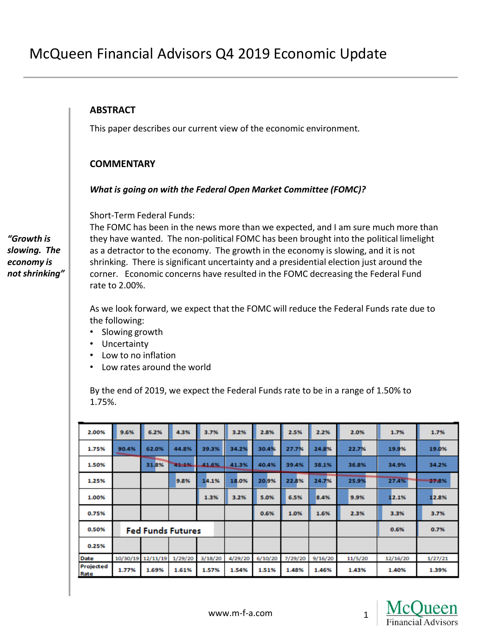#### **ABSTRACT**

This paper describes our current view of the economic environment.

#### **COMMENTARY**

#### *What is going on with the Federal Open Market Committee (FOMC)?*

Short-Term Federal Funds:

The FOMC has been in the news more than we expected, and I am sure much more than they have wanted. The non-political FOMC has been brought into the political limelight as a detractor to the economy. The growth in the economy is slowing, and it is not shrinking. There is significant uncertainty and a presidential election just around the corner. Economic concerns have resulted in the FOMC decreasing the Federal Fund rate to 2.00%.

As we look forward, we expect that the FOMC will reduce the Federal Funds rate due to the following:

- Slowing growth
- Uncertainty
- Low to no inflation
- Low rates around the world

By the end of 2019, we expect the Federal Funds rate to be in a range of 1.50% to 1.75%.

| 2.00%             | 9.6%                     | 6.2%              | 4.3%    | 3.7%    | 3.2%    | 2.8%    | 2.5%    | 2.2%    | 2.0%    | 1.7%     | 1.7%    |
|-------------------|--------------------------|-------------------|---------|---------|---------|---------|---------|---------|---------|----------|---------|
| 1.75%             | 90.4%                    | 62.0%             | 44.8%   | 39.3%   | 34.2%   | 30.4%   | 27.7%   | 24.8%   | 22.7%   | 19.9%    | 19.0%   |
| 1.50%             |                          | 31.8%             | 11:46   | 41.6%   | 41.3%   | 40.4%   | 39.4%   | 38.1%   | 36.8%   | 34.9%    | 34.2%   |
| 1.25%             |                          |                   | 9.8%    | 14.1%   | 18.0%   | 20.9%   | 22.8%   | 24.7%   | 25.9%   | 27.4%    | 27.8%   |
| 1.00%             |                          |                   |         | 1.3%    | 3.2%    | 5.0%    | 6.5%    | 8.4%    | 9.9%    | 12.1%    | 12.8%   |
| 0.75%             |                          |                   |         |         |         | 0.6%    | 1.0%    | 1.6%    | 2.3%    | 3.3%     | 3.7%    |
| 0.50%             | <b>Fed Funds Futures</b> |                   |         |         |         |         |         |         | 0.6%    | 0.7%     |         |
| 0.25%             |                          |                   |         |         |         |         |         |         |         |          |         |
| Date              |                          | 10/30/19 12/11/19 | 1/29/20 | 3/18/20 | 4/29/20 | 6/10/20 | 7/29/20 | 9/16/20 | 11/5/20 | 12/16/20 | 1/27/21 |
| Projected<br>Rate | 1.77%                    | 1.69%             | 1.61%   | 1.57%   | 1.54%   | 1.51%   | 1.48%   | 1.46%   | 1.43%   | 1.40%    | 1.39%   |



*"Growth is slowing. The economy is not shrinking"*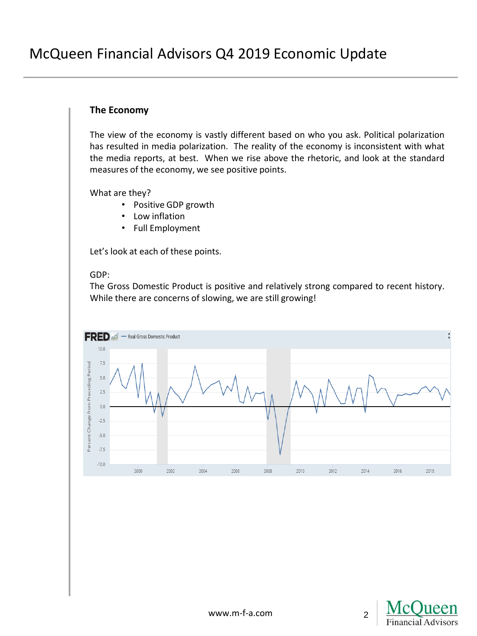# **The Economy**

The view of the economy is vastly different based on who you ask. Political polarization has resulted in media polarization. The reality of the economy is inconsistent with what the media reports, at best. When we rise above the rhetoric, and look at the standard measures of the economy, we see positive points.

What are they?

- Positive GDP growth
- Low inflation
- Full Employment

Let's look at each of these points.

#### GDP:

The Gross Domestic Product is positive and relatively strong compared to recent history. While there are concerns of slowing, we are still growing!



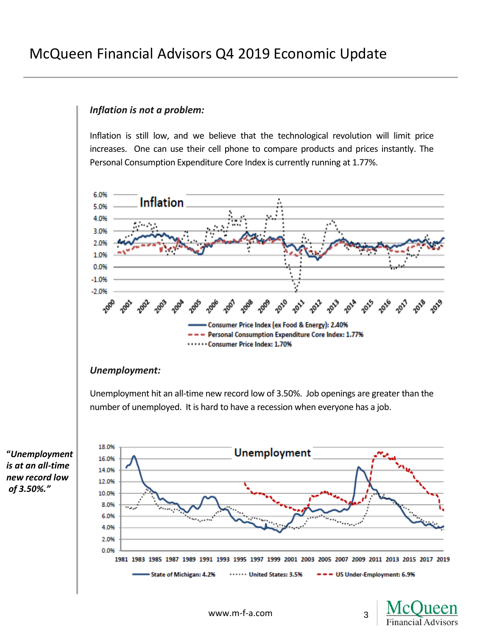# *Inflation is not a problem:*

Inflation is still low, and we believe that the technological revolution will limit price increases. One can use their cell phone to compare products and prices instantly. The Personal Consumption Expenditure Core Index is currently running at 1.77%.



# *Unemployment:*

Unemployment hit an all-time new record low of 3.50%. Job openings are greater than the number of unemployed. It is hard to have a recession when everyone has a job.

**"***Unemployment is at an all-time new record low of 3.50%."*



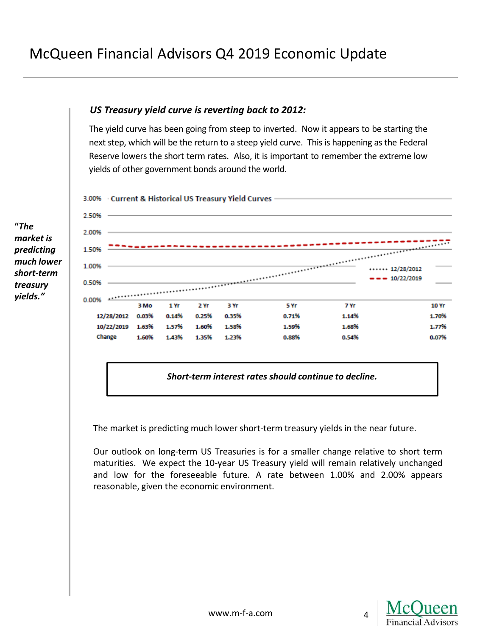# *US Treasury yield curve is reverting back to 2012:*

The yield curve has been going from steep to inverted. Now it appears to be starting the next step, which will be the return to a steep yield curve. This is happening as the Federal Reserve lowers the short term rates. Also, it is important to remember the extreme low yields of other government bonds around the world.



**"***The market is predicting much lower short-term treasury yields."*



*Short-term interest rates should continue to decline.*

The market is predicting much lower short-term treasury yields in the near future.

Our outlook on long-term US Treasuries is for a smaller change relative to short term maturities. We expect the 10-year US Treasury yield will remain relatively unchanged and low for the foreseeable future. A rate between 1.00% and 2.00% appears reasonable, given the economic environment.

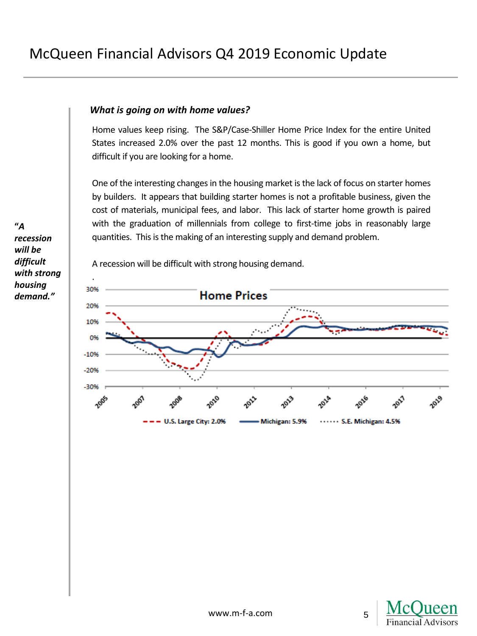# *What is going on with home values?*

Home values keep rising. The S&P/Case-Shiller Home Price Index for the entire United States increased 2.0% over the past 12 months. This is good if you own a home, but difficult if you are looking for a home.

One of the interesting changes in the housing market is the lack of focus on starter homes by builders. It appears that building starter homes is not a profitable business, given the cost of materials, municipal fees, and labor. This lack of starter home growth is paired with the graduation of millennials from college to first-time jobs in reasonably large quantities. This is the making of an interesting supply and demand problem.

A recession will be difficult with strong housing demand.



**"***A recession will be difficult with strong housing demand."*

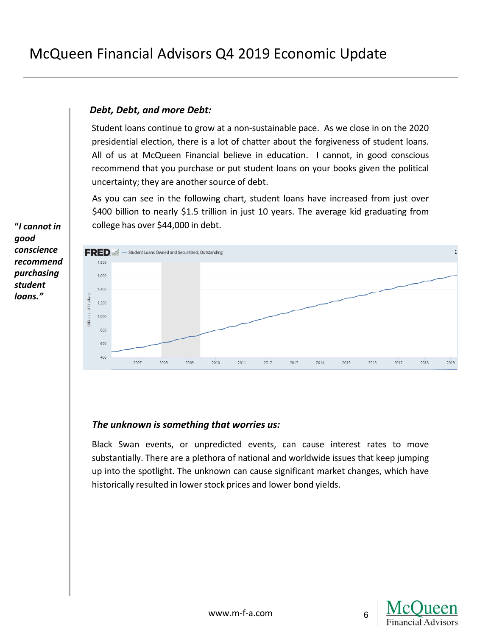# *Debt, Debt, and more Debt:*

Student loans continue to grow at a non-sustainable pace. As we close in on the 2020 presidential election, there is a lot of chatter about the forgiveness of student loans. All of us at McQueen Financial believe in education. I cannot, in good conscious recommend that you purchase or put student loans on your books given the political uncertainty; they are another source of debt.

As you can see in the following chart, student loans have increased from just over \$400 billion to nearly \$1.5 trillion in just 10 years. The average kid graduating from college has over \$44,000 in debt.



#### *The unknown is something that worries us:*

Black Swan events, or unpredicted events, can cause interest rates to move substantially. There are a plethora of national and worldwide issues that keep jumping up into the spotlight. The unknown can cause significant market changes, which have historically resulted in lower stock prices and lower bond yields.



6

**"***I cannot in good conscience recommend purchasing student loans."*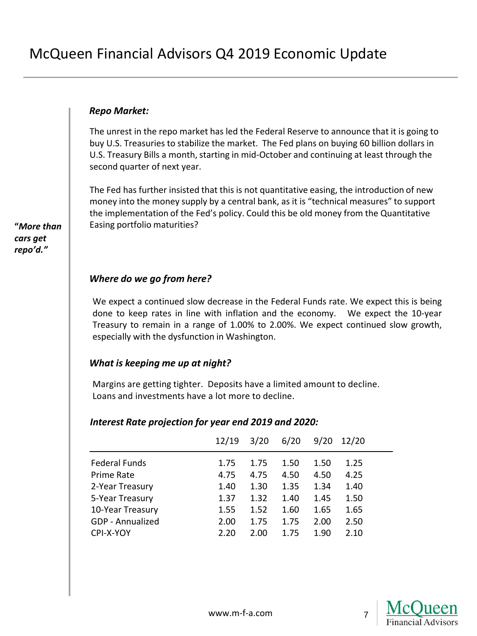#### *Repo Market:*

The unrest in the repo market has led the Federal Reserve to announce that it is going to buy U.S. Treasuries to stabilize the market. The Fed plans on buying 60 billion dollars in U.S. Treasury Bills a month, starting in mid-October and continuing at least through the second quarter of next year.

The Fed has further insisted that this is not quantitative easing, the introduction of new money into the money supply by a central bank, as it is "technical measures" to support the implementation of the Fed's policy. Could this be old money from the Quantitative Easing portfolio maturities?

# *Where do we go from here?*

We expect a continued slow decrease in the Federal Funds rate. We expect this is being done to keep rates in line with inflation and the economy. We expect the 10-year Treasury to remain in a range of 1.00% to 2.00%. We expect continued slow growth, especially with the dysfunction in Washington.

#### *What is keeping me up at night?*

Margins are getting tighter. Deposits have a limited amount to decline. Loans and investments have a lot more to decline.

#### *Interest Rate projection for year end 2019 and 2020:*

|                      | 12/19 | 3/20 | 6/20 | 9/20 | 12/20 |
|----------------------|-------|------|------|------|-------|
| <b>Federal Funds</b> | 1.75  | 1.75 | 1.50 | 1.50 | 1.25  |
| Prime Rate           | 4.75  | 4.75 | 4.50 | 4.50 | 4.25  |
| 2-Year Treasury      | 1.40  | 1.30 | 1.35 | 1.34 | 1.40  |
| 5-Year Treasury      | 1.37  | 1.32 | 1.40 | 1.45 | 1.50  |
| 10-Year Treasury     | 1.55  | 1.52 | 1.60 | 1.65 | 1.65  |
| GDP - Annualized     | 2.00  | 1.75 | 1.75 | 2.00 | 2.50  |
| CPI-X-YOY            | 2.20  | 2.00 | 1.75 | 1.90 | 2.10  |



7

www.m-f-a.com

**"***More than cars get repo'd."*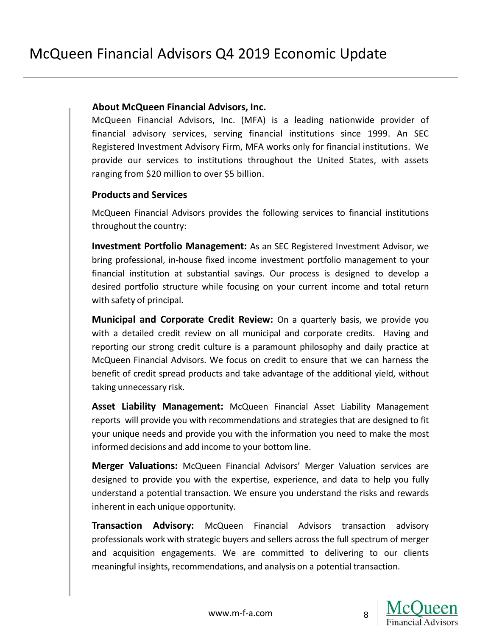#### **About McQueen Financial Advisors, Inc.**

McQueen Financial Advisors, Inc. (MFA) is a leading nationwide provider of financial advisory services, serving financial institutions since 1999. An SEC Registered Investment Advisory Firm, MFA works only for financial institutions. We provide our services to institutions throughout the United States, with assets ranging from \$20 million to over \$5 billion.

# **Products and Services**

McQueen Financial Advisors provides the following services to financial institutions throughout the country:

**Investment Portfolio Management:** As an SEC Registered Investment Advisor, we bring professional, in-house fixed income investment portfolio management to your financial institution at substantial savings. Our process is designed to develop a desired portfolio structure while focusing on your current income and total return with safety of principal.

**Municipal and Corporate Credit Review:** On a quarterly basis, we provide you with a detailed credit review on all municipal and corporate credits. Having and reporting our strong credit culture is a paramount philosophy and daily practice at McQueen Financial Advisors. We focus on credit to ensure that we can harness the benefit of credit spread products and take advantage of the additional yield, without taking unnecessary risk.

**Asset Liability Management:** McQueen Financial Asset Liability Management reports will provide you with recommendations and strategies that are designed to fit your unique needs and provide you with the information you need to make the most informed decisions and add income to your bottom line.

**Merger Valuations:** McQueen Financial Advisors' Merger Valuation services are designed to provide you with the expertise, experience, and data to help you fully understand a potential transaction. We ensure you understand the risks and rewards inherent in each unique opportunity.

**Transaction Advisory:** McQueen Financial Advisors transaction advisory professionals work with strategic buyers and sellers across the full spectrum of merger and acquisition engagements. We are committed to delivering to our clients meaningful insights, recommendations, and analysis on a potential transaction.

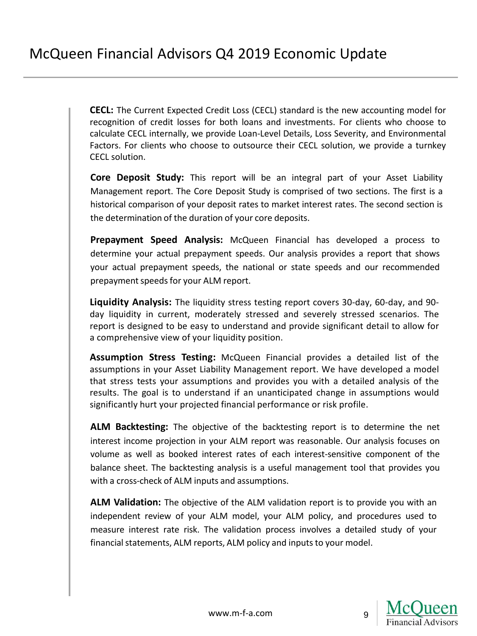**CECL:** The Current Expected Credit Loss (CECL) standard is the new accounting model for recognition of credit losses for both loans and investments. For clients who choose to calculate CECL internally, we provide Loan-Level Details, Loss Severity, and Environmental Factors. For clients who choose to outsource their CECL solution, we provide a turnkey CECL solution.

**Core Deposit Study:** This report will be an integral part of your Asset Liability Management report. The Core Deposit Study is comprised of two sections. The first is a historical comparison of your deposit rates to market interest rates. The second section is the determination of the duration of your core deposits.

**Prepayment Speed Analysis:** McQueen Financial has developed a process to determine your actual prepayment speeds. Our analysis provides a report that shows your actual prepayment speeds, the national or state speeds and our recommended prepayment speeds for your ALM report.

**Liquidity Analysis:** The liquidity stress testing report covers 30-day, 60-day, and 90 day liquidity in current, moderately stressed and severely stressed scenarios. The report is designed to be easy to understand and provide significant detail to allow for a comprehensive view of your liquidity position.

**Assumption Stress Testing:** McQueen Financial provides a detailed list of the assumptions in your Asset Liability Management report. We have developed a model that stress tests your assumptions and provides you with a detailed analysis of the results. The goal is to understand if an unanticipated change in assumptions would significantly hurt your projected financial performance or risk profile.

**ALM Backtesting:** The objective of the backtesting report is to determine the net interest income projection in your ALM report was reasonable. Our analysis focuses on volume as well as booked interest rates of each interest-sensitive component of the balance sheet. The backtesting analysis is a useful management tool that provides you with a cross-check of ALM inputs and assumptions.

**ALM Validation:** The objective of the ALM validation report is to provide you with an independent review of your ALM model, your ALM policy, and procedures used to measure interest rate risk. The validation process involves a detailed study of your financial statements, ALM reports, ALM policy and inputs to your model.